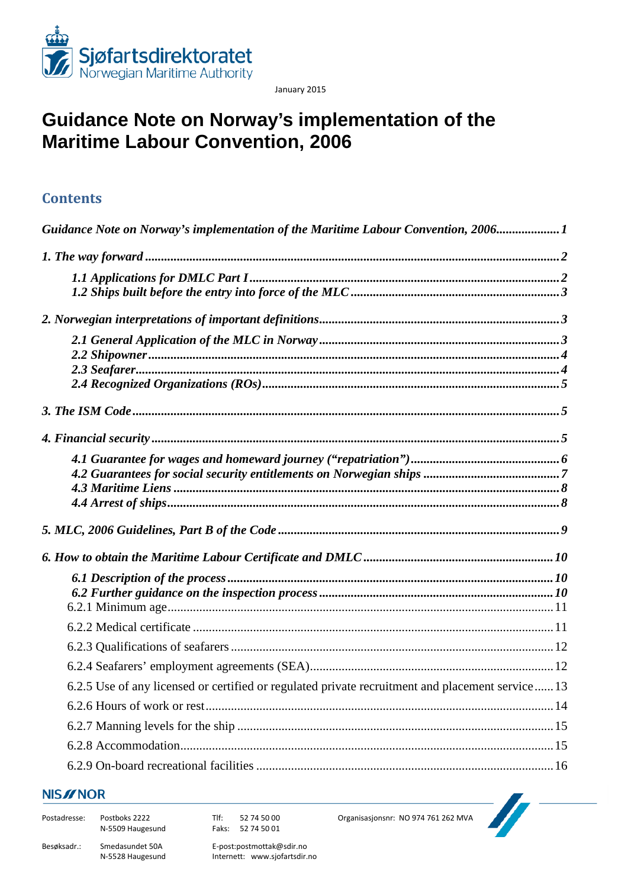

January 2015

# <span id="page-0-0"></span>**Guidance Note on Norway's implementation of the Maritime Labour Convention, 2006**

## **Contents**

| Guidance Note on Norway's implementation of the Maritime Labour Convention, 20061                |
|--------------------------------------------------------------------------------------------------|
|                                                                                                  |
|                                                                                                  |
|                                                                                                  |
|                                                                                                  |
|                                                                                                  |
|                                                                                                  |
|                                                                                                  |
|                                                                                                  |
|                                                                                                  |
|                                                                                                  |
|                                                                                                  |
|                                                                                                  |
|                                                                                                  |
|                                                                                                  |
|                                                                                                  |
|                                                                                                  |
|                                                                                                  |
|                                                                                                  |
|                                                                                                  |
|                                                                                                  |
|                                                                                                  |
|                                                                                                  |
| 6.2.5 Use of any licensed or certified or regulated private recruitment and placement service 13 |
|                                                                                                  |
|                                                                                                  |
|                                                                                                  |
|                                                                                                  |

### **NIS//NOR**

| Postadresse: | Postboks 2222<br>N-5509 Haugesund   | 52 74 50 00<br>Tlf:<br>Faks: 52 74 50 01                 |
|--------------|-------------------------------------|----------------------------------------------------------|
| Besøksadr.:  | Smedasundet 50A<br>N-5528 Haugesund | E-post:postmottak@sdir.no<br>Internett: www.sjofartsdir. |

Internett: www.sjofartsdir.no

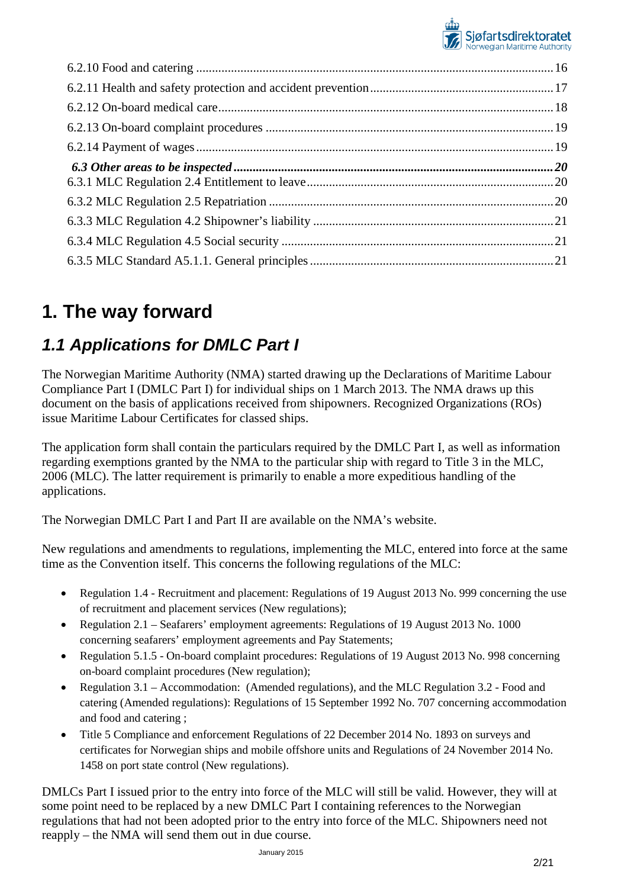

# <span id="page-1-0"></span>**1. The way forward**

# <span id="page-1-1"></span>*1.1 Applications for DMLC Part I*

The Norwegian Maritime Authority (NMA) started drawing up the Declarations of Maritime Labour Compliance Part I (DMLC Part I) for individual ships on 1 March 2013. The NMA draws up this document on the basis of applications received from shipowners. Recognized Organizations (ROs) issue Maritime Labour Certificates for classed ships.

The application form shall contain the particulars required by the DMLC Part I, as well as information regarding exemptions granted by the NMA to the particular ship with regard to Title 3 in the MLC, 2006 (MLC). The latter requirement is primarily to enable a more expeditious handling of the applications.

The Norwegian DMLC Part I and Part II are available on the NMA's website.

New regulations and amendments to regulations, implementing the MLC, entered into force at the same time as the Convention itself. This concerns the following regulations of the MLC:

- Regulation 1.4 Recruitment and placement: Regulations of 19 August 2013 No. 999 concerning the use of recruitment and placement services (New regulations);
- Regulation 2.1 Seafarers' employment agreements: Regulations of 19 August 2013 No. 1000 concerning seafarers' employment agreements and Pay Statements;
- Regulation 5.1.5 On-board complaint procedures: Regulations of 19 August 2013 No. 998 concerning on-board complaint procedures (New regulation);
- Regulation 3.1 Accommodation: (Amended regulations), and the MLC Regulation 3.2 Food and catering (Amended regulations): Regulations of 15 September 1992 No. 707 concerning accommodation and food and catering ;
- Title 5 Compliance and enforcement Regulations of 22 December 2014 No. 1893 on surveys and certificates for Norwegian ships and mobile offshore units and Regulations of 24 November 2014 No. 1458 on port state control (New regulations).

DMLCs Part I issued prior to the entry into force of the MLC will still be valid. However, they will at some point need to be replaced by a new DMLC Part I containing references to the Norwegian regulations that had not been adopted prior to the entry into force of the MLC. Shipowners need not reapply – the NMA will send them out in due course.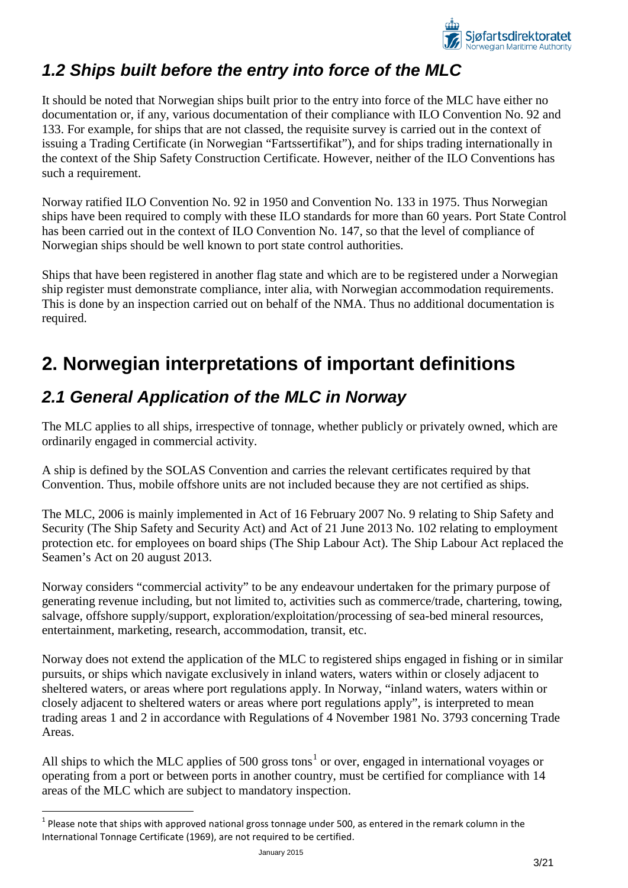

## <span id="page-2-0"></span>*1.2 Ships built before the entry into force of the MLC*

It should be noted that Norwegian ships built prior to the entry into force of the MLC have either no documentation or, if any, various documentation of their compliance with ILO Convention No. 92 and 133. For example, for ships that are not classed, the requisite survey is carried out in the context of issuing a Trading Certificate (in Norwegian "Fartssertifikat"), and for ships trading internationally in the context of the Ship Safety Construction Certificate. However, neither of the ILO Conventions has such a requirement.

Norway ratified ILO Convention No. 92 in 1950 and Convention No. 133 in 1975. Thus Norwegian ships have been required to comply with these ILO standards for more than 60 years. Port State Control has been carried out in the context of ILO Convention No. 147, so that the level of compliance of Norwegian ships should be well known to port state control authorities.

Ships that have been registered in another flag state and which are to be registered under a Norwegian ship register must demonstrate compliance, inter alia, with Norwegian accommodation requirements. This is done by an inspection carried out on behalf of the NMA. Thus no additional documentation is required.

# <span id="page-2-1"></span>**2. Norwegian interpretations of important definitions**

# <span id="page-2-2"></span>*2.1 General Application of the MLC in Norway*

The MLC applies to all ships, irrespective of tonnage, whether publicly or privately owned, which are ordinarily engaged in commercial activity.

A ship is defined by the SOLAS Convention and carries the relevant certificates required by that Convention. Thus, mobile offshore units are not included because they are not certified as ships.

The MLC, 2006 is mainly implemented in Act of 16 February 2007 No. 9 relating to Ship Safety and Security (The Ship Safety and Security Act) and Act of 21 June 2013 No. 102 relating to employment protection etc. for employees on board ships (The Ship Labour Act). The Ship Labour Act replaced the Seamen's Act on 20 august 2013.

Norway considers "commercial activity" to be any endeavour undertaken for the primary purpose of generating revenue including, but not limited to, activities such as commerce/trade, chartering, towing, salvage, offshore supply/support, exploration/exploitation/processing of sea-bed mineral resources, entertainment, marketing, research, accommodation, transit, etc.

Norway does not extend the application of the MLC to registered ships engaged in fishing or in similar pursuits, or ships which navigate exclusively in inland waters, waters within or closely adjacent to sheltered waters, or areas where port regulations apply. In Norway, "inland waters, waters within or closely adjacent to sheltered waters or areas where port regulations apply", is interpreted to mean trading areas 1 and 2 in accordance with Regulations of 4 November 1981 No. 3793 concerning Trade Areas.

All ships to which the MLC applies of 500 gross tons<sup>[1](#page-2-3)</sup> or over, engaged in international voyages or operating from a port or between ports in another country, must be certified for compliance with 14 areas of the MLC which are subject to mandatory inspection.

<span id="page-2-3"></span> $1$  Please note that ships with approved national gross tonnage under 500, as entered in the remark column in the International Tonnage Certificate (1969), are not required to be certified.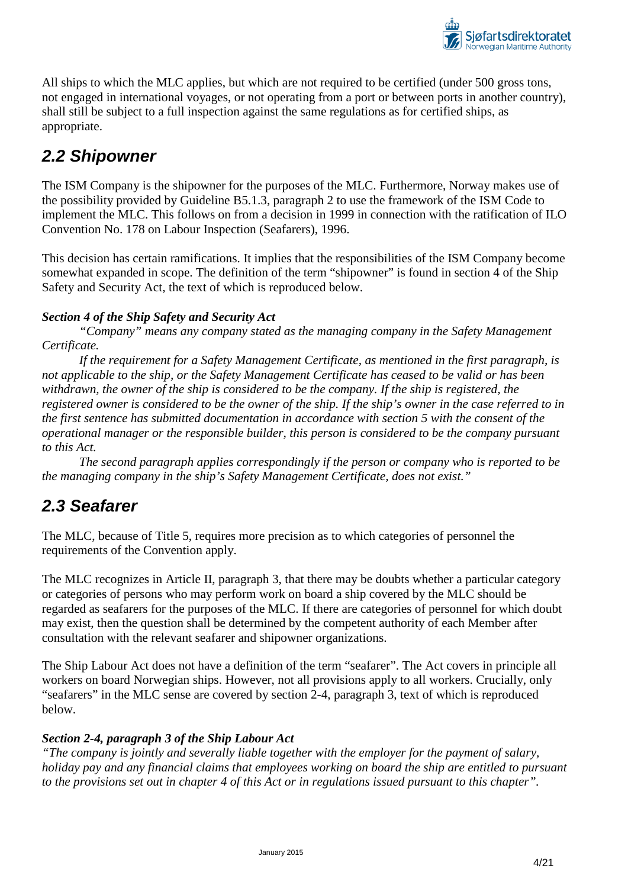

All ships to which the MLC applies, but which are not required to be certified (under 500 gross tons, not engaged in international voyages, or not operating from a port or between ports in another country), shall still be subject to a full inspection against the same regulations as for certified ships, as appropriate.

## <span id="page-3-0"></span>*2.2 Shipowner*

The ISM Company is the shipowner for the purposes of the MLC. Furthermore, Norway makes use of the possibility provided by Guideline B5.1.3, paragraph 2 to use the framework of the ISM Code to implement the MLC. This follows on from a decision in 1999 in connection with the ratification of ILO Convention No. 178 on Labour Inspection (Seafarers), 1996.

This decision has certain ramifications. It implies that the responsibilities of the ISM Company become somewhat expanded in scope. The definition of the term "shipowner" is found in section 4 of the Ship Safety and Security Act, the text of which is reproduced below.

## *Section 4 of the Ship Safety and Security Act*

*"Company" means any company stated as the managing company in the Safety Management Certificate.* 

*If the requirement for a Safety Management Certificate, as mentioned in the first paragraph, is not applicable to the ship, or the Safety Management Certificate has ceased to be valid or has been withdrawn, the owner of the ship is considered to be the company. If the ship is registered, the registered owner is considered to be the owner of the ship. If the ship's owner in the case referred to in the first sentence has submitted documentation in accordance with section 5 with the consent of the operational manager or the responsible builder, this person is considered to be the company pursuant to this Act.* 

*The second paragraph applies correspondingly if the person or company who is reported to be the managing company in the ship's Safety Management Certificate, does not exist."*

## <span id="page-3-1"></span>*2.3 Seafarer*

The MLC, because of Title 5, requires more precision as to which categories of personnel the requirements of the Convention apply.

The MLC recognizes in Article II, paragraph 3, that there may be doubts whether a particular category or categories of persons who may perform work on board a ship covered by the MLC should be regarded as seafarers for the purposes of the MLC. If there are categories of personnel for which doubt may exist, then the question shall be determined by the competent authority of each Member after consultation with the relevant seafarer and shipowner organizations.

The Ship Labour Act does not have a definition of the term "seafarer". The Act covers in principle all workers on board Norwegian ships. However, not all provisions apply to all workers. Crucially, only "seafarers" in the MLC sense are covered by section 2-4, paragraph 3, text of which is reproduced below.

### *Section 2-4, paragraph 3 of the Ship Labour Act*

*"The company is jointly and severally liable together with the employer for the payment of salary, holiday pay and any financial claims that employees working on board the ship are entitled to pursuant to the provisions set out in chapter 4 of this Act or in regulations issued pursuant to this chapter".*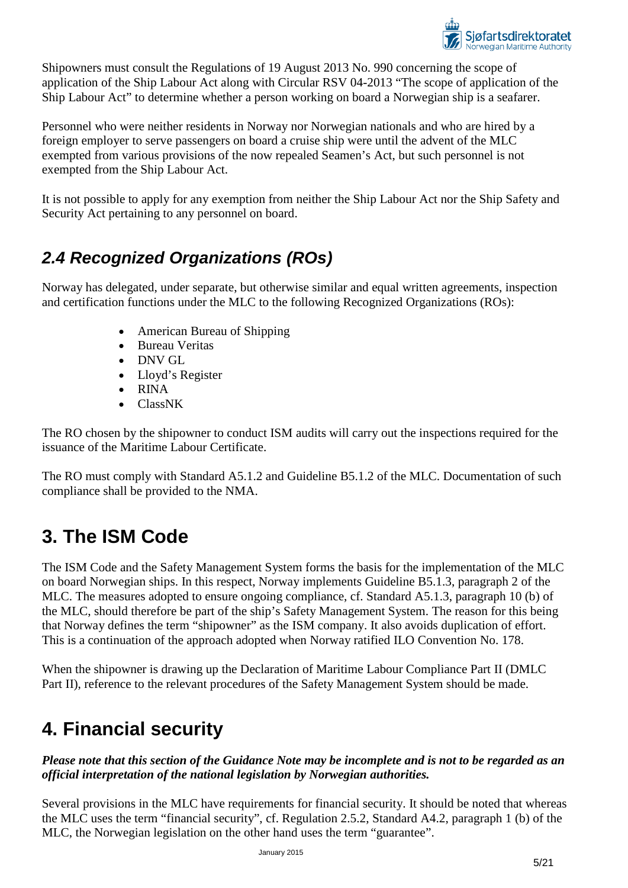

Shipowners must consult the Regulations of 19 August 2013 No. 990 concerning the scope of application of the Ship Labour Act along with Circular RSV 04-2013 "The scope of application of the Ship Labour Act" to determine whether a person working on board a Norwegian ship is a seafarer.

Personnel who were neither residents in Norway nor Norwegian nationals and who are hired by a foreign employer to serve passengers on board a cruise ship were until the advent of the MLC exempted from various provisions of the now repealed Seamen's Act, but such personnel is not exempted from the Ship Labour Act.

It is not possible to apply for any exemption from neither the Ship Labour Act nor the Ship Safety and Security Act pertaining to any personnel on board.

# <span id="page-4-0"></span>*2.4 Recognized Organizations (ROs)*

Norway has delegated, under separate, but otherwise similar and equal written agreements, inspection and certification functions under the MLC to the following Recognized Organizations (ROs):

- American Bureau of Shipping
- Bureau Veritas
- DNV GL
- Lloyd's Register
- RINA
- ClassNK

The RO chosen by the shipowner to conduct ISM audits will carry out the inspections required for the issuance of the Maritime Labour Certificate.

The RO must comply with Standard A5.1.2 and Guideline B5.1.2 of the MLC. Documentation of such compliance shall be provided to the NMA.

# <span id="page-4-1"></span>**3. The ISM Code**

The ISM Code and the Safety Management System forms the basis for the implementation of the MLC on board Norwegian ships. In this respect, Norway implements Guideline B5.1.3, paragraph 2 of the MLC. The measures adopted to ensure ongoing compliance, cf. Standard A5.1.3, paragraph 10 (b) of the MLC, should therefore be part of the ship's Safety Management System. The reason for this being that Norway defines the term "shipowner" as the ISM company. It also avoids duplication of effort. This is a continuation of the approach adopted when Norway ratified ILO Convention No. 178.

When the shipowner is drawing up the Declaration of Maritime Labour Compliance Part II (DMLC Part II), reference to the relevant procedures of the Safety Management System should be made.

# <span id="page-4-2"></span>**4. Financial security**

*Please note that this section of the Guidance Note may be incomplete and is not to be regarded as an official interpretation of the national legislation by Norwegian authorities.*

Several provisions in the MLC have requirements for financial security. It should be noted that whereas the MLC uses the term "financial security", cf. Regulation 2.5.2, Standard A4.2, paragraph 1 (b) of the MLC, the Norwegian legislation on the other hand uses the term "guarantee".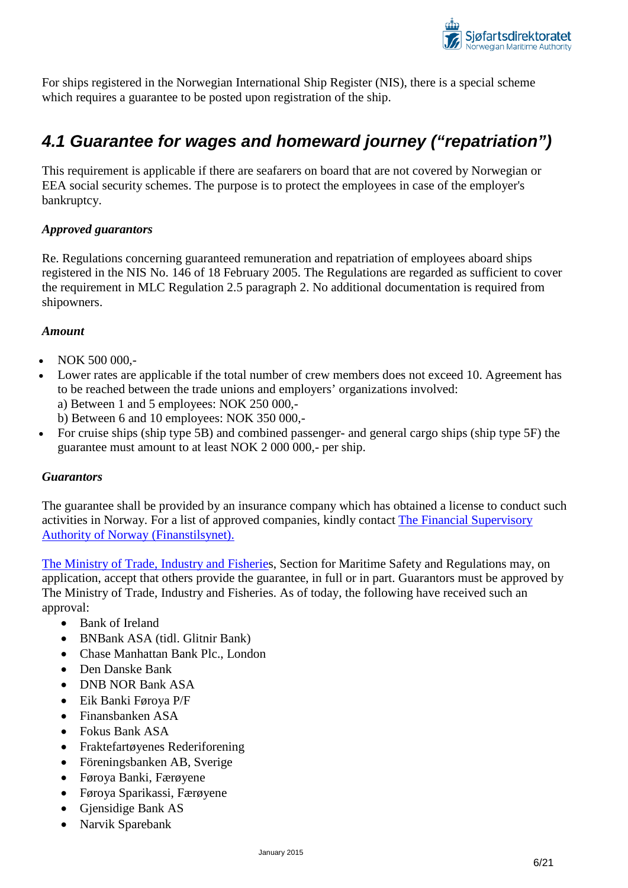

For ships registered in the Norwegian International Ship Register (NIS), there is a special scheme which requires a guarantee to be posted upon registration of the ship.

## <span id="page-5-0"></span>*4.1 Guarantee for wages and homeward journey ("repatriation")*

This requirement is applicable if there are seafarers on board that are not covered by Norwegian or EEA social security schemes. The purpose is to protect the employees in case of the employer's bankruptcy.

### *Approved guarantors*

Re. Regulations concerning guaranteed remuneration and repatriation of employees aboard ships registered in the NIS No. 146 of 18 February 2005. The Regulations are regarded as sufficient to cover the requirement in MLC Regulation 2.5 paragraph 2. No additional documentation is required from shipowners.

#### *Amount*

- NOK 500 000,-
- Lower rates are applicable if the total number of crew members does not exceed 10. Agreement has to be reached between the trade unions and employers' organizations involved:
	- a) Between 1 and 5 employees: NOK 250 000,-
	- b) Between 6 and 10 employees: NOK 350 000,-
- For cruise ships (ship type 5B) and combined passenger- and general cargo ships (ship type 5F) the guarantee must amount to at least NOK 2 000 000,- per ship.

### *Guarantors*

The guarantee shall be provided by an insurance company which has obtained a license to conduct such activities in Norway. For a list of approved companies, kindly contact [The Financial Supervisory](http://www.finanstilsynet.no/en/)  [Authority of Norway \(Finanstilsynet\).](http://www.finanstilsynet.no/en/) 

[The Ministry of Trade, Industry and Fisheries](http://www.regjeringen.no/en/dep/nfd/about-the-ministry/organisation/Departments/maritime-departement.html?id=528219), Section for Maritime Safety and Regulations may, on application, accept that others provide the guarantee, in full or in part. Guarantors must be approved by The Ministry of Trade, Industry and Fisheries. As of today, the following have received such an approval:

- Bank of Ireland
- BNBank ASA (tidl. Glitnir Bank)
- Chase Manhattan Bank Plc., London
- Den Danske Bank
- DNB NOR Bank ASA
- Eik Banki Føroya P/F
- Finansbanken ASA
- Fokus Bank ASA
- Fraktefartøyenes Rederiforening
- Föreningsbanken AB, Sverige
- Føroya Banki, Færøyene
- Føroya Sparikassi, Færøyene
- Gjensidige Bank AS
- Narvik Sparebank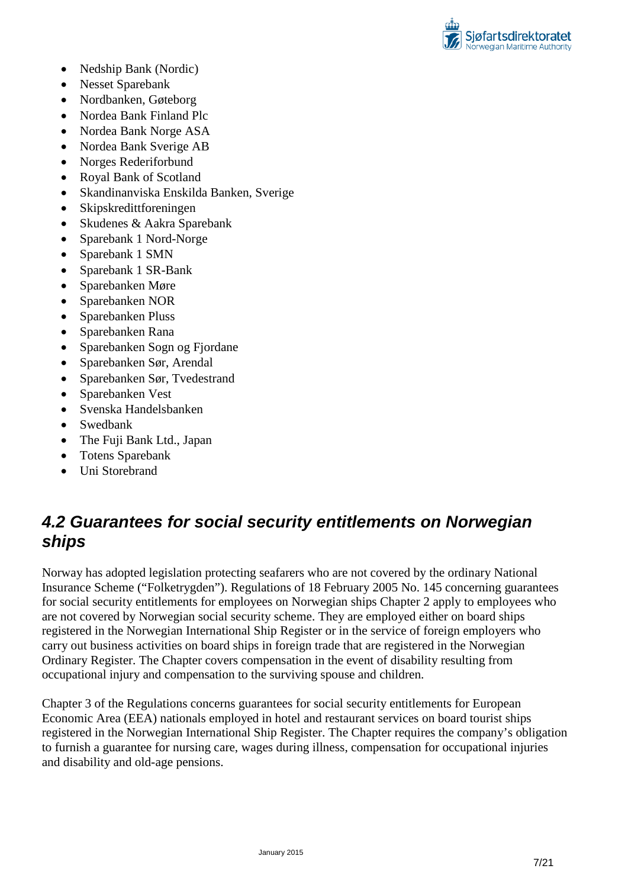

- Nedship Bank (Nordic)
- Nesset Sparebank
- Nordbanken, Gøteborg
- Nordea Bank Finland Plc
- Nordea Bank Norge ASA
- Nordea Bank Sverige AB
- Norges Rederiforbund
- Royal Bank of Scotland
- Skandinanviska Enskilda Banken, Sverige
- Skipskredittforeningen
- Skudenes & Aakra Sparebank
- Sparebank 1 Nord-Norge
- Sparebank 1 SMN
- Sparebank 1 SR-Bank
- Sparebanken Møre
- Sparebanken NOR
- Sparebanken Pluss
- Sparebanken Rana
- Sparebanken Sogn og Fjordane
- Sparebanken Sør, Arendal
- Sparebanken Sør, Tvedestrand
- Sparebanken Vest
- Svenska Handelsbanken
- Swedbank
- The Fuji Bank Ltd., Japan
- Totens Sparebank
- Uni Storebrand

## <span id="page-6-0"></span>*4.2 Guarantees for social security entitlements on Norwegian ships*

Norway has adopted legislation protecting seafarers who are not covered by the ordinary National Insurance Scheme ("Folketrygden"). Regulations of 18 February 2005 No. 145 concerning guarantees for social security entitlements for employees on Norwegian ships Chapter 2 apply to employees who are not covered by Norwegian social security scheme. They are employed either on board ships registered in the Norwegian International Ship Register or in the service of foreign employers who carry out business activities on board ships in foreign trade that are registered in the Norwegian Ordinary Register. The Chapter covers compensation in the event of disability resulting from occupational injury and compensation to the surviving spouse and children.

Chapter 3 of the Regulations concerns guarantees for social security entitlements for European Economic Area (EEA) nationals employed in hotel and restaurant services on board tourist ships registered in the Norwegian International Ship Register. The Chapter requires the company's obligation to furnish a guarantee for nursing care, wages during illness, compensation for occupational injuries and disability and old-age pensions.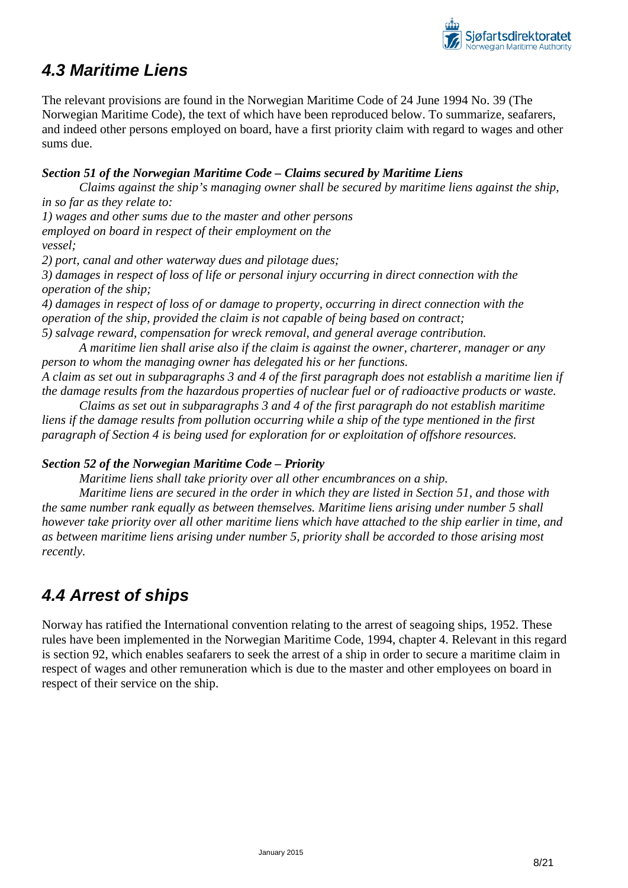

## <span id="page-7-0"></span>*4.3 Maritime Liens*

The relevant provisions are found in the Norwegian Maritime Code of 24 June 1994 No. 39 (The Norwegian Maritime Code), the text of which have been reproduced below. To summarize, seafarers, and indeed other persons employed on board, have a first priority claim with regard to wages and other sums due.

### *Section 51 of the Norwegian Maritime Code – Claims secured by Maritime Liens*

*Claims against the ship's managing owner shall be secured by maritime liens against the ship, in so far as they relate to:*

*1) wages and other sums due to the master and other persons employed on board in respect of their employment on the vessel;*

*2) port, canal and other waterway dues and pilotage dues;*

*3) damages in respect of loss of life or personal injury occurring in direct connection with the operation of the ship;*

*4) damages in respect of loss of or damage to property, occurring in direct connection with the operation of the ship, provided the claim is not capable of being based on contract;*

*5) salvage reward, compensation for wreck removal, and general average contribution.*

*A maritime lien shall arise also if the claim is against the owner, charterer, manager or any person to whom the managing owner has delegated his or her functions.*

*A claim as set out in subparagraphs 3 and 4 of the first paragraph does not establish a maritime lien if the damage results from the hazardous properties of nuclear fuel or of radioactive products or waste.*

*Claims as set out in subparagraphs 3 and 4 of the first paragraph do not establish maritime liens if the damage results from pollution occurring while a ship of the type mentioned in the first paragraph of Section 4 is being used for exploration for or exploitation of offshore resources.*

## *Section 52 of the Norwegian Maritime Code – Priority*

*Maritime liens shall take priority over all other encumbrances on a ship.*

*Maritime liens are secured in the order in which they are listed in Section 51, and those with the same number rank equally as between themselves. Maritime liens arising under number 5 shall however take priority over all other maritime liens which have attached to the ship earlier in time, and as between maritime liens arising under number 5, priority shall be accorded to those arising most recently.*

# <span id="page-7-1"></span>*4.4 Arrest of ships*

Norway has ratified the International convention relating to the arrest of seagoing ships, 1952. These rules have been implemented in the Norwegian Maritime Code, 1994, chapter 4. Relevant in this regard is section 92, which enables seafarers to seek the arrest of a ship in order to secure a maritime claim in respect of wages and other remuneration which is due to the master and other employees on board in respect of their service on the ship.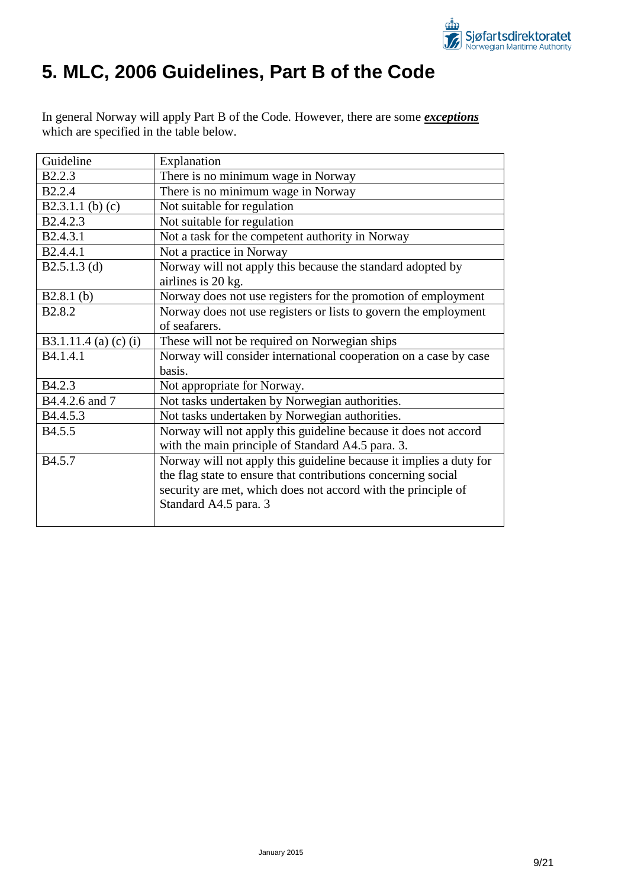

# <span id="page-8-0"></span>**5. MLC, 2006 Guidelines, Part B of the Code**

In general Norway will apply Part B of the Code. However, there are some *exceptions* which are specified in the table below.

| Guideline             | Explanation                                                        |
|-----------------------|--------------------------------------------------------------------|
| <b>B2.2.3</b>         | There is no minimum wage in Norway                                 |
| <b>B2.2.4</b>         | There is no minimum wage in Norway                                 |
| B2.3.1.1 (b) $(c)$    | Not suitable for regulation                                        |
| B2.4.2.3              | Not suitable for regulation                                        |
| B2.4.3.1              | Not a task for the competent authority in Norway                   |
| B2.4.4.1              | Not a practice in Norway                                           |
| $B2.5.1.3$ (d)        | Norway will not apply this because the standard adopted by         |
|                       | airlines is 20 kg.                                                 |
| $B2.8.1$ (b)          | Norway does not use registers for the promotion of employment      |
| B <sub>2.8.2</sub>    | Norway does not use registers or lists to govern the employment    |
|                       | of seafarers.                                                      |
| B3.1.11.4 (a) (c) (i) | These will not be required on Norwegian ships                      |
| B4.1.4.1              | Norway will consider international cooperation on a case by case   |
|                       | basis.                                                             |
| B4.2.3                | Not appropriate for Norway.                                        |
| B4.4.2.6 and 7        | Not tasks undertaken by Norwegian authorities.                     |
| B4.4.5.3              | Not tasks undertaken by Norwegian authorities.                     |
| B <sub>4.5.5</sub>    | Norway will not apply this guideline because it does not accord    |
|                       | with the main principle of Standard A4.5 para. 3.                  |
| B4.5.7                | Norway will not apply this guideline because it implies a duty for |
|                       | the flag state to ensure that contributions concerning social      |
|                       | security are met, which does not accord with the principle of      |
|                       | Standard A4.5 para. 3                                              |
|                       |                                                                    |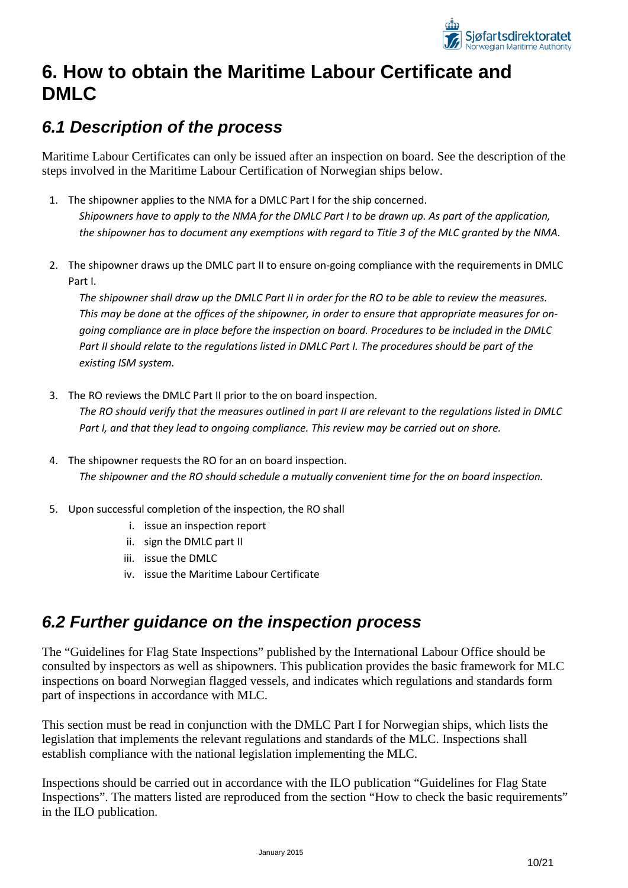

# <span id="page-9-0"></span>**6. How to obtain the Maritime Labour Certificate and DMLC**

## <span id="page-9-1"></span>*6.1 Description of the process*

Maritime Labour Certificates can only be issued after an inspection on board. See the description of the steps involved in the Maritime Labour Certification of Norwegian ships below.

- 1. The shipowner applies to the NMA for a DMLC Part I for the ship concerned. *Shipowners have to apply to the NMA for the DMLC Part I to be drawn up. As part of the application, the shipowner has to document any exemptions with regard to Title 3 of the MLC granted by the NMA.*
- 2. The shipowner draws up the DMLC part II to ensure on-going compliance with the requirements in DMLC Part I.

*The shipowner shall draw up the DMLC Part II in order for the RO to be able to review the measures. This may be done at the offices of the shipowner, in order to ensure that appropriate measures for ongoing compliance are in place before the inspection on board. Procedures to be included in the DMLC Part II should relate to the regulations listed in DMLC Part I. The procedures should be part of the existing ISM system.* 

- 3. The RO reviews the DMLC Part II prior to the on board inspection. *The RO should verify that the measures outlined in part II are relevant to the regulations listed in DMLC Part I, and that they lead to ongoing compliance. This review may be carried out on shore.*
- 4. The shipowner requests the RO for an on board inspection. *The shipowner and the RO should schedule a mutually convenient time for the on board inspection.*
- 5. Upon successful completion of the inspection, the RO shall
	- i. issue an inspection report
	- ii. sign the DMLC part II
	- iii. issue the DMLC
	- iv. issue the Maritime Labour Certificate

## <span id="page-9-2"></span>*6.2 Further guidance on the inspection process*

The "Guidelines for Flag State Inspections" published by the International Labour Office should be consulted by inspectors as well as shipowners. This publication provides the basic framework for MLC inspections on board Norwegian flagged vessels, and indicates which regulations and standards form part of inspections in accordance with MLC.

This section must be read in conjunction with the DMLC Part I for Norwegian ships, which lists the legislation that implements the relevant regulations and standards of the MLC. Inspections shall establish compliance with the national legislation implementing the MLC.

Inspections should be carried out in accordance with the ILO publication "Guidelines for Flag State Inspections". The matters listed are reproduced from the section "How to check the basic requirements" in the ILO publication.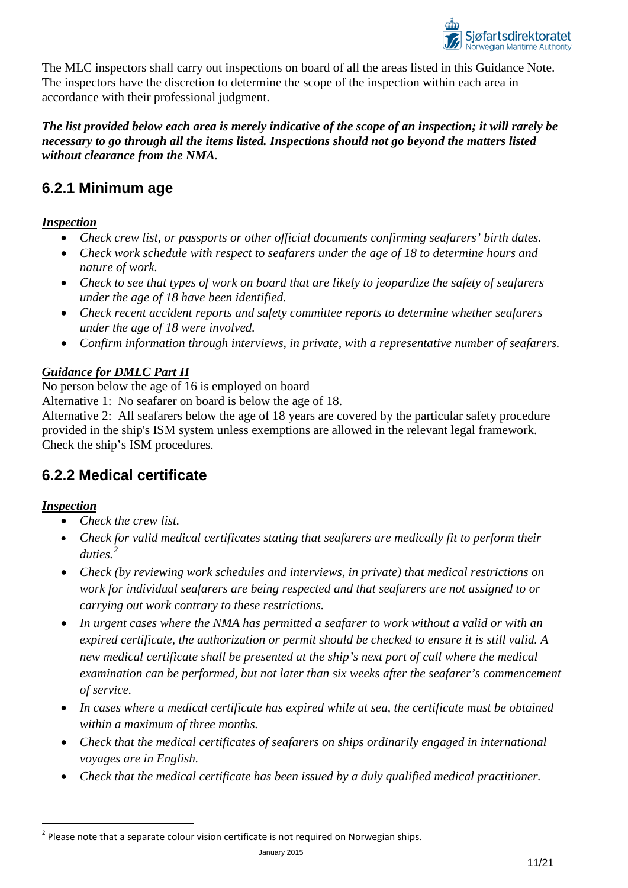

The MLC inspectors shall carry out inspections on board of all the areas listed in this Guidance Note. The inspectors have the discretion to determine the scope of the inspection within each area in accordance with their professional judgment.

### *The list provided below each area is merely indicative of the scope of an inspection; it will rarely be necessary to go through all the items listed. Inspections should not go beyond the matters listed without clearance from the NMA.*

## <span id="page-10-0"></span>**6.2.1 Minimum age**

## *Inspection*

- *Check crew list, or passports or other official documents confirming seafarers' birth dates.*
- *Check work schedule with respect to seafarers under the age of 18 to determine hours and nature of work.*
- *Check to see that types of work on board that are likely to jeopardize the safety of seafarers under the age of 18 have been identified.*
- *Check recent accident reports and safety committee reports to determine whether seafarers under the age of 18 were involved.*
- *Confirm information through interviews, in private, with a representative number of seafarers.*

## *Guidance for DMLC Part II*

No person below the age of 16 is employed on board

Alternative 1: No seafarer on board is below the age of 18.

Alternative 2: All seafarers below the age of 18 years are covered by the particular safety procedure provided in the ship's ISM system unless exemptions are allowed in the relevant legal framework. Check the ship's ISM procedures.

## <span id="page-10-1"></span>**6.2.2 Medical certificate**

## *Inspection*

- *Check the crew list.*
- *Check for valid medical certificates stating that seafarers are medically fit to perform their duties.[2](#page-10-2)*
- *Check (by reviewing work schedules and interviews, in private) that medical restrictions on work for individual seafarers are being respected and that seafarers are not assigned to or carrying out work contrary to these restrictions.*
- *In urgent cases where the NMA has permitted a seafarer to work without a valid or with an expired certificate, the authorization or permit should be checked to ensure it is still valid. A new medical certificate shall be presented at the ship's next port of call where the medical examination can be performed, but not later than six weeks after the seafarer's commencement of service.*
- *In cases where a medical certificate has expired while at sea, the certificate must be obtained within a maximum of three months.*
- *Check that the medical certificates of seafarers on ships ordinarily engaged in international voyages are in English.*
- *Check that the medical certificate has been issued by a duly qualified medical practitioner.*

<span id="page-10-2"></span> $2$  Please note that a separate colour vision certificate is not required on Norwegian ships.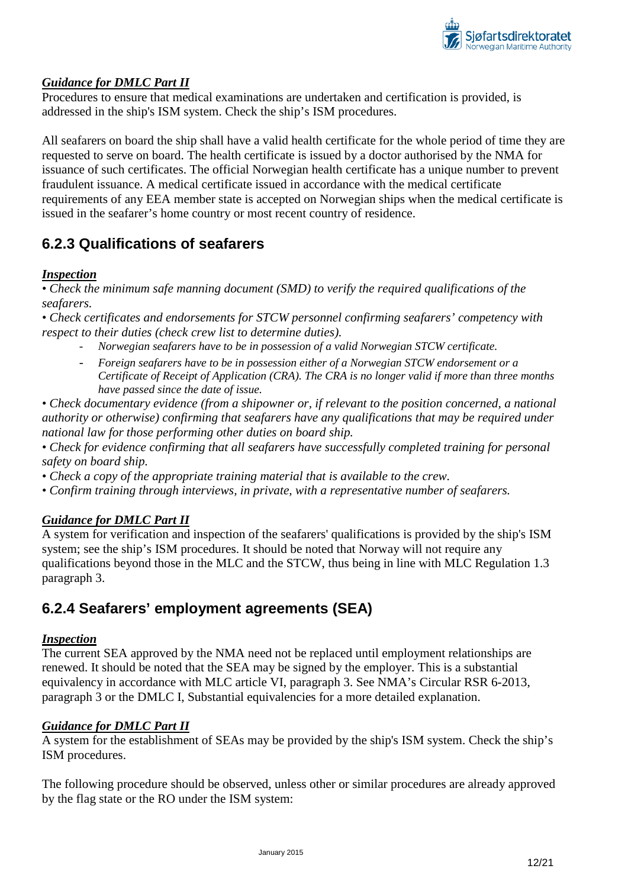

Procedures to ensure that medical examinations are undertaken and certification is provided, is addressed in the ship's ISM system. Check the ship's ISM procedures.

All seafarers on board the ship shall have a valid health certificate for the whole period of time they are requested to serve on board. The health certificate is issued by a doctor authorised by the NMA for issuance of such certificates. The official Norwegian health certificate has a unique number to prevent fraudulent issuance. A medical certificate issued in accordance with the medical certificate requirements of any EEA member state is accepted on Norwegian ships when the medical certificate is issued in the seafarer's home country or most recent country of residence.

## <span id="page-11-0"></span>**6.2.3 Qualifications of seafarers**

## *Inspection*

*• Check the minimum safe manning document (SMD) to verify the required qualifications of the seafarers.*

*• Check certificates and endorsements for STCW personnel confirming seafarers' competency with respect to their duties (check crew list to determine duties).*

- *Norwegian seafarers have to be in possession of a valid Norwegian STCW certificate.*
- *Foreign seafarers have to be in possession either of a Norwegian STCW endorsement or a Certificate of Receipt of Application (CRA). The CRA is no longer valid if more than three months have passed since the date of issue.*

*• Check documentary evidence (from a shipowner or, if relevant to the position concerned, a national authority or otherwise) confirming that seafarers have any qualifications that may be required under national law for those performing other duties on board ship.*

- *Check for evidence confirming that all seafarers have successfully completed training for personal safety on board ship.*
- *Check a copy of the appropriate training material that is available to the crew.*
- *Confirm training through interviews, in private, with a representative number of seafarers.*

### *Guidance for DMLC Part II*

A system for verification and inspection of the seafarers' qualifications is provided by the ship's ISM system; see the ship's ISM procedures. It should be noted that Norway will not require any qualifications beyond those in the MLC and the STCW, thus being in line with MLC Regulation 1.3 paragraph 3.

## <span id="page-11-1"></span>**6.2.4 Seafarers' employment agreements (SEA)**

### *Inspection*

The current SEA approved by the NMA need not be replaced until employment relationships are renewed. It should be noted that the SEA may be signed by the employer. This is a substantial equivalency in accordance with MLC article VI, paragraph 3. See NMA's Circular RSR 6-2013, paragraph 3 or the DMLC I, Substantial equivalencies for a more detailed explanation.

### *Guidance for DMLC Part II*

A system for the establishment of SEAs may be provided by the ship's ISM system. Check the ship's ISM procedures.

The following procedure should be observed, unless other or similar procedures are already approved by the flag state or the RO under the ISM system: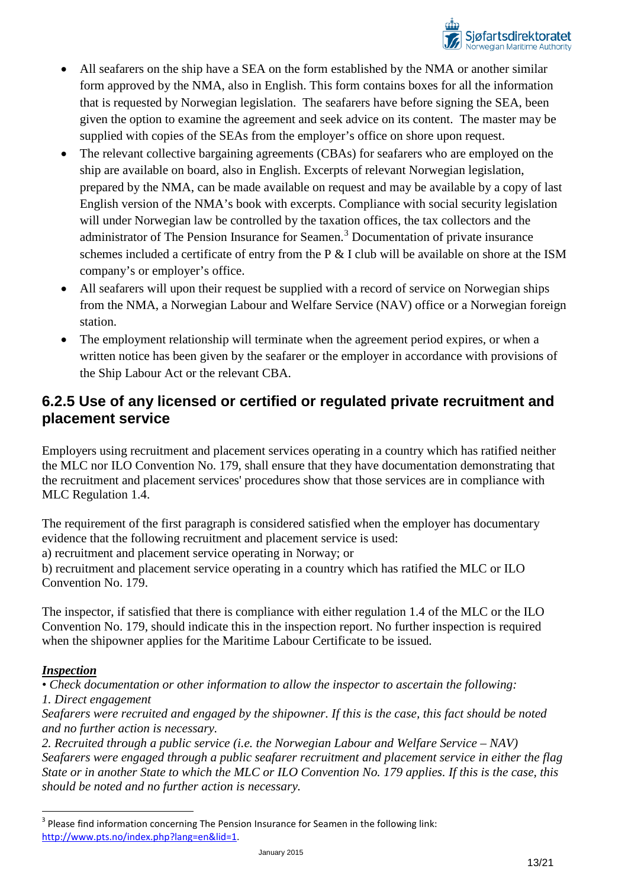

- All seafarers on the ship have a SEA on the form established by the NMA or another similar form approved by the NMA, also in English. This form contains boxes for all the information that is requested by Norwegian legislation. The seafarers have before signing the SEA, been given the option to examine the agreement and seek advice on its content. The master may be supplied with copies of the SEAs from the employer's office on shore upon request.
- The relevant collective bargaining agreements (CBAs) for seafarers who are employed on the ship are available on board, also in English. Excerpts of relevant Norwegian legislation, prepared by the NMA, can be made available on request and may be available by a copy of last English version of the NMA's book with excerpts. Compliance with social security legislation will under Norwegian law be controlled by the taxation offices, the tax collectors and the administrator of The Pension Insurance for Seamen. [3](#page-12-1) Documentation of private insurance schemes included a certificate of entry from the P & I club will be available on shore at the ISM company's or employer's office.
- All seafarers will upon their request be supplied with a record of service on Norwegian ships from the NMA, a Norwegian Labour and Welfare Service (NAV) office or a Norwegian foreign station.
- The employment relationship will terminate when the agreement period expires, or when a written notice has been given by the seafarer or the employer in accordance with provisions of the Ship Labour Act or the relevant CBA.

## <span id="page-12-0"></span>**6.2.5 Use of any licensed or certified or regulated private recruitment and placement service**

Employers using recruitment and placement services operating in a country which has ratified neither the MLC nor ILO Convention No. 179, shall ensure that they have documentation demonstrating that the recruitment and placement services' procedures show that those services are in compliance with MLC Regulation 1.4.

The requirement of the first paragraph is considered satisfied when the employer has documentary evidence that the following recruitment and placement service is used:

a) recruitment and placement service operating in Norway; or

b) recruitment and placement service operating in a country which has ratified the MLC or ILO Convention No. 179.

The inspector, if satisfied that there is compliance with either regulation 1.4 of the MLC or the ILO Convention No. 179, should indicate this in the inspection report. No further inspection is required when the shipowner applies for the Maritime Labour Certificate to be issued.

### *Inspection*

*• Check documentation or other information to allow the inspector to ascertain the following: 1. Direct engagement*

*Seafarers were recruited and engaged by the shipowner. If this is the case, this fact should be noted and no further action is necessary.*

*2. Recruited through a public service (i.e. the Norwegian Labour and Welfare Service – NAV) Seafarers were engaged through a public seafarer recruitment and placement service in either the flag State or in another State to which the MLC or ILO Convention No. 179 applies. If this is the case, this should be noted and no further action is necessary.*

<span id="page-12-1"></span> $3$  Please find information concerning The Pension Insurance for Seamen in the following link: [http://www.pts.no/index.php?lang=en&lid=1.](http://www.pts.no/index.php?lang=en&lid=1)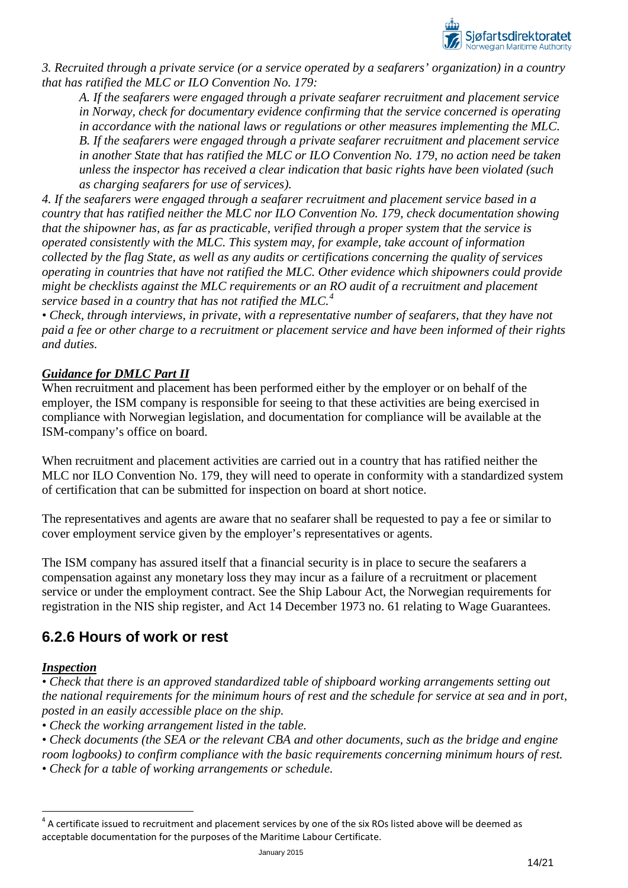

*3. Recruited through a private service (or a service operated by a seafarers' organization) in a country that has ratified the MLC or ILO Convention No. 179:*

*A. If the seafarers were engaged through a private seafarer recruitment and placement service in Norway, check for documentary evidence confirming that the service concerned is operating in accordance with the national laws or regulations or other measures implementing the MLC. B. If the seafarers were engaged through a private seafarer recruitment and placement service in another State that has ratified the MLC or ILO Convention No. 179, no action need be taken unless the inspector has received a clear indication that basic rights have been violated (such as charging seafarers for use of services).* 

*4. If the seafarers were engaged through a seafarer recruitment and placement service based in a country that has ratified neither the MLC nor ILO Convention No. 179, check documentation showing that the shipowner has, as far as practicable, verified through a proper system that the service is operated consistently with the MLC. This system may, for example, take account of information collected by the flag State, as well as any audits or certifications concerning the quality of services operating in countries that have not ratified the MLC. Other evidence which shipowners could provide might be checklists against the MLC requirements or an RO audit of a recruitment and placement service based in a country that has not ratified the MLC.[4](#page-13-1)*

*• Check, through interviews, in private, with a representative number of seafarers, that they have not paid a fee or other charge to a recruitment or placement service and have been informed of their rights and duties.*

## *Guidance for DMLC Part II*

When recruitment and placement has been performed either by the employer or on behalf of the employer, the ISM company is responsible for seeing to that these activities are being exercised in compliance with Norwegian legislation, and documentation for compliance will be available at the ISM-company's office on board.

When recruitment and placement activities are carried out in a country that has ratified neither the MLC nor ILO Convention No. 179, they will need to operate in conformity with a standardized system of certification that can be submitted for inspection on board at short notice.

The representatives and agents are aware that no seafarer shall be requested to pay a fee or similar to cover employment service given by the employer's representatives or agents.

The ISM company has assured itself that a financial security is in place to secure the seafarers a compensation against any monetary loss they may incur as a failure of a recruitment or placement service or under the employment contract. See the Ship Labour Act, the Norwegian requirements for registration in the NIS ship register, and Act 14 December 1973 no. 61 relating to Wage Guarantees.

## <span id="page-13-0"></span>**6.2.6 Hours of work or rest**

### *Inspection*

*• Check that there is an approved standardized table of shipboard working arrangements setting out the national requirements for the minimum hours of rest and the schedule for service at sea and in port, posted in an easily accessible place on the ship.*

*• Check the working arrangement listed in the table.*

*• Check documents (the SEA or the relevant CBA and other documents, such as the bridge and engine room logbooks) to confirm compliance with the basic requirements concerning minimum hours of rest.*

*• Check for a table of working arrangements or schedule.*

<span id="page-13-1"></span> $4$  A certificate issued to recruitment and placement services by one of the six ROs listed above will be deemed as acceptable documentation for the purposes of the Maritime Labour Certificate.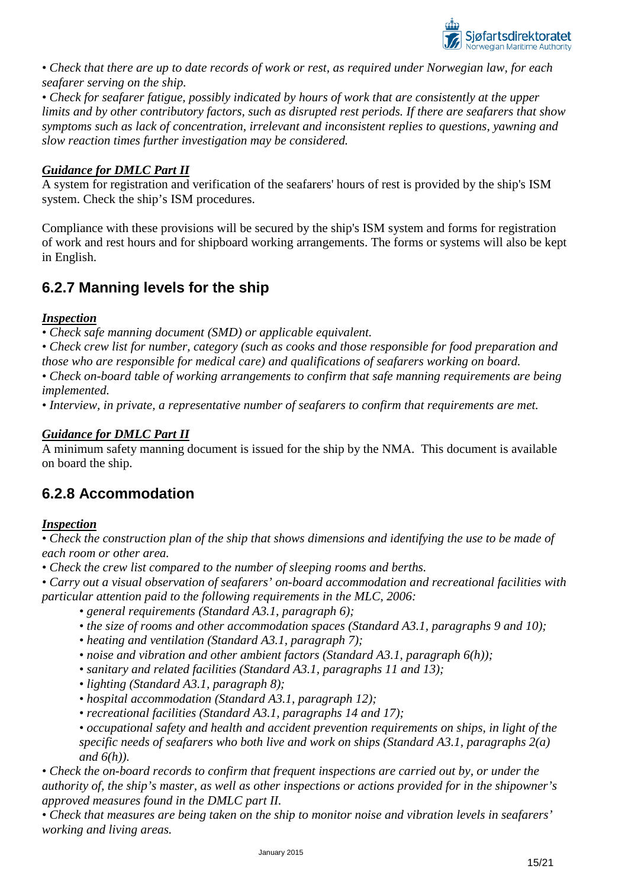

*• Check that there are up to date records of work or rest, as required under Norwegian law, for each seafarer serving on the ship.*

*• Check for seafarer fatigue, possibly indicated by hours of work that are consistently at the upper limits and by other contributory factors, such as disrupted rest periods. If there are seafarers that show symptoms such as lack of concentration, irrelevant and inconsistent replies to questions, yawning and slow reaction times further investigation may be considered.*

## *Guidance for DMLC Part II*

A system for registration and verification of the seafarers' hours of rest is provided by the ship's ISM system. Check the ship's ISM procedures.

Compliance with these provisions will be secured by the ship's ISM system and forms for registration of work and rest hours and for shipboard working arrangements. The forms or systems will also be kept in English.

## <span id="page-14-0"></span>**6.2.7 Manning levels for the ship**

### *Inspection*

*• Check safe manning document (SMD) or applicable equivalent.*

*• Check crew list for number, category (such as cooks and those responsible for food preparation and those who are responsible for medical care) and qualifications of seafarers working on board.*

*• Check on-board table of working arrangements to confirm that safe manning requirements are being implemented.*

*• Interview, in private, a representative number of seafarers to confirm that requirements are met.*

## *Guidance for DMLC Part II*

A minimum safety manning document is issued for the ship by the NMA. This document is available on board the ship.

## <span id="page-14-1"></span>**6.2.8 Accommodation**

### *Inspection*

*• Check the construction plan of the ship that shows dimensions and identifying the use to be made of each room or other area.*

*• Check the crew list compared to the number of sleeping rooms and berths.*

*• Carry out a visual observation of seafarers' on-board accommodation and recreational facilities with particular attention paid to the following requirements in the MLC, 2006:*

- *general requirements (Standard A3.1, paragraph 6);*
- *the size of rooms and other accommodation spaces (Standard A3.1, paragraphs 9 and 10);*
- *heating and ventilation (Standard A3.1, paragraph 7);*
- *noise and vibration and other ambient factors (Standard A3.1, paragraph 6(h));*
- *sanitary and related facilities (Standard A3.1, paragraphs 11 and 13);*
- *lighting (Standard A3.1, paragraph 8);*
- *hospital accommodation (Standard A3.1, paragraph 12);*
- *recreational facilities (Standard A3.1, paragraphs 14 and 17);*

*• occupational safety and health and accident prevention requirements on ships, in light of the specific needs of seafarers who both live and work on ships (Standard A3.1, paragraphs 2(a) and 6(h)).*

*• Check the on-board records to confirm that frequent inspections are carried out by, or under the authority of, the ship's master, as well as other inspections or actions provided for in the shipowner's approved measures found in the DMLC part II.*

*• Check that measures are being taken on the ship to monitor noise and vibration levels in seafarers' working and living areas.*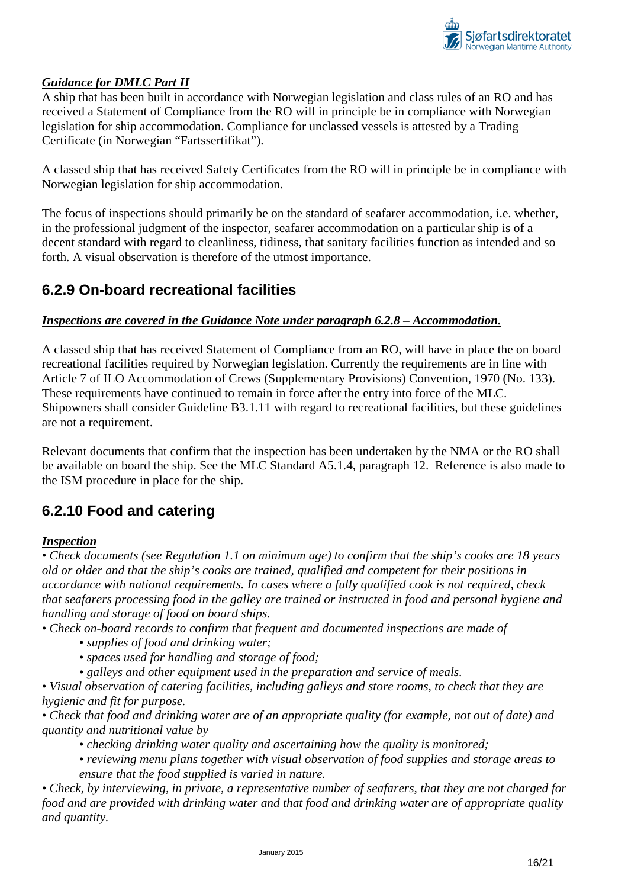

A ship that has been built in accordance with Norwegian legislation and class rules of an RO and has received a Statement of Compliance from the RO will in principle be in compliance with Norwegian legislation for ship accommodation. Compliance for unclassed vessels is attested by a Trading Certificate (in Norwegian "Fartssertifikat").

A classed ship that has received Safety Certificates from the RO will in principle be in compliance with Norwegian legislation for ship accommodation.

The focus of inspections should primarily be on the standard of seafarer accommodation, i.e. whether, in the professional judgment of the inspector, seafarer accommodation on a particular ship is of a decent standard with regard to cleanliness, tidiness, that sanitary facilities function as intended and so forth. A visual observation is therefore of the utmost importance.

## <span id="page-15-0"></span>**6.2.9 On-board recreational facilities**

### *Inspections are covered in the Guidance Note under paragraph 6.2.8 – Accommodation.*

A classed ship that has received Statement of Compliance from an RO, will have in place the on board recreational facilities required by Norwegian legislation. Currently the requirements are in line with Article 7 of ILO Accommodation of Crews (Supplementary Provisions) Convention, 1970 (No. 133). These requirements have continued to remain in force after the entry into force of the MLC. Shipowners shall consider Guideline B3.1.11 with regard to recreational facilities, but these guidelines are not a requirement.

Relevant documents that confirm that the inspection has been undertaken by the NMA or the RO shall be available on board the ship. See the MLC Standard A5.1.4, paragraph 12. Reference is also made to the ISM procedure in place for the ship.

## <span id="page-15-1"></span>**6.2.10 Food and catering**

### *Inspection*

*• Check documents (see Regulation 1.1 on minimum age) to confirm that the ship's cooks are 18 years old or older and that the ship's cooks are trained, qualified and competent for their positions in accordance with national requirements. In cases where a fully qualified cook is not required, check that seafarers processing food in the galley are trained or instructed in food and personal hygiene and handling and storage of food on board ships.*

*• Check on-board records to confirm that frequent and documented inspections are made of*

- *supplies of food and drinking water;*
- *spaces used for handling and storage of food;*

*• galleys and other equipment used in the preparation and service of meals.*

*• Visual observation of catering facilities, including galleys and store rooms, to check that they are hygienic and fit for purpose.*

*• Check that food and drinking water are of an appropriate quality (for example, not out of date) and quantity and nutritional value by*

- *checking drinking water quality and ascertaining how the quality is monitored;*
- *reviewing menu plans together with visual observation of food supplies and storage areas to ensure that the food supplied is varied in nature.*

*• Check, by interviewing, in private, a representative number of seafarers, that they are not charged for food and are provided with drinking water and that food and drinking water are of appropriate quality and quantity.*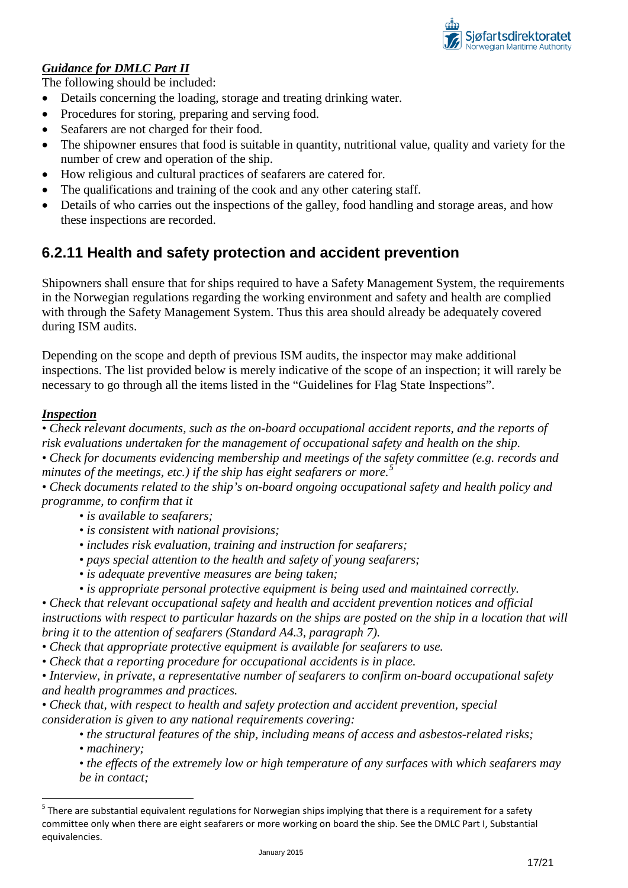

The following should be included:

- Details concerning the loading, storage and treating drinking water.
- Procedures for storing, preparing and serving food.
- Seafarers are not charged for their food.
- The shipowner ensures that food is suitable in quantity, nutritional value, quality and variety for the number of crew and operation of the ship.
- How religious and cultural practices of seafarers are catered for.
- The qualifications and training of the cook and any other catering staff.
- Details of who carries out the inspections of the galley, food handling and storage areas, and how these inspections are recorded.

## <span id="page-16-0"></span>**6.2.11 Health and safety protection and accident prevention**

Shipowners shall ensure that for ships required to have a Safety Management System, the requirements in the Norwegian regulations regarding the working environment and safety and health are complied with through the Safety Management System. Thus this area should already be adequately covered during ISM audits.

Depending on the scope and depth of previous ISM audits, the inspector may make additional inspections. The list provided below is merely indicative of the scope of an inspection; it will rarely be necessary to go through all the items listed in the "Guidelines for Flag State Inspections".

### *Inspection*

*• Check relevant documents, such as the on-board occupational accident reports, and the reports of risk evaluations undertaken for the management of occupational safety and health on the ship.*

*• Check for documents evidencing membership and meetings of the safety committee (e.g. records and minutes of the meetings, etc.) if the ship has eight seafarers or more. [5](#page-16-1)*

• Check documents related to the ship's on-board ongoing occupational safety and health policy and *programme, to confirm that it* 

- *is available to seafarers;*
- *is consistent with national provisions;*
- *includes risk evaluation, training and instruction for seafarers;*
- *pays special attention to the health and safety of young seafarers;*
- *is adequate preventive measures are being taken;*
- *is appropriate personal protective equipment is being used and maintained correctly.*

*• Check that relevant occupational safety and health and accident prevention notices and official instructions with respect to particular hazards on the ships are posted on the ship in a location that will bring it to the attention of seafarers (Standard A4.3, paragraph 7).*

- *Check that appropriate protective equipment is available for seafarers to use.*
- *Check that a reporting procedure for occupational accidents is in place.*

*• Interview, in private, a representative number of seafarers to confirm on-board occupational safety and health programmes and practices.*

*• Check that, with respect to health and safety protection and accident prevention, special consideration is given to any national requirements covering:*

*• the structural features of the ship, including means of access and asbestos-related risks; • machinery;*

*• the effects of the extremely low or high temperature of any surfaces with which seafarers may be in contact;*

<span id="page-16-1"></span> $5$  There are substantial equivalent regulations for Norwegian ships implying that there is a requirement for a safety committee only when there are eight seafarers or more working on board the ship. See the DMLC Part I, Substantial equivalencies.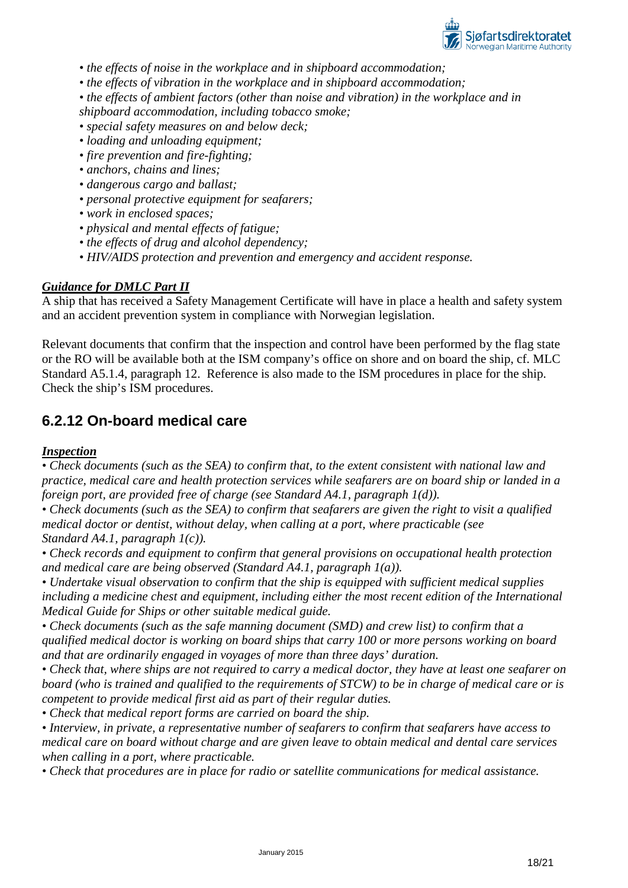

*• the effects of noise in the workplace and in shipboard accommodation;*

- *the effects of vibration in the workplace and in shipboard accommodation;*
- *the effects of ambient factors (other than noise and vibration) in the workplace and in*

*shipboard accommodation, including tobacco smoke;*

- *special safety measures on and below deck;*
- *loading and unloading equipment;*
- *fire prevention and fire-fighting;*
- *anchors, chains and lines;*
- *dangerous cargo and ballast;*
- *personal protective equipment for seafarers;*
- *work in enclosed spaces;*
- *physical and mental effects of fatigue;*
- *the effects of drug and alcohol dependency;*
- *HIV/AIDS protection and prevention and emergency and accident response.*

### *Guidance for DMLC Part II*

A ship that has received a Safety Management Certificate will have in place a health and safety system and an accident prevention system in compliance with Norwegian legislation.

Relevant documents that confirm that the inspection and control have been performed by the flag state or the RO will be available both at the ISM company's office on shore and on board the ship, cf. MLC Standard A5.1.4, paragraph 12. Reference is also made to the ISM procedures in place for the ship. Check the ship's ISM procedures.

## <span id="page-17-0"></span>**6.2.12 On-board medical care**

#### *Inspection*

*• Check documents (such as the SEA) to confirm that, to the extent consistent with national law and practice, medical care and health protection services while seafarers are on board ship or landed in a foreign port, are provided free of charge (see Standard A4.1, paragraph 1(d)).*

• Check documents (such as the SEA) to confirm that seafarers are given the right to visit a qualified *medical doctor or dentist, without delay, when calling at a port, where practicable (see Standard A4.1, paragraph 1(c)).*

*• Check records and equipment to confirm that general provisions on occupational health protection and medical care are being observed (Standard A4.1, paragraph 1(a)).*

*• Undertake visual observation to confirm that the ship is equipped with sufficient medical supplies including a medicine chest and equipment, including either the most recent edition of the International Medical Guide for Ships or other suitable medical guide.*

*• Check documents (such as the safe manning document (SMD) and crew list) to confirm that a qualified medical doctor is working on board ships that carry 100 or more persons working on board and that are ordinarily engaged in voyages of more than three days' duration.*

*• Check that, where ships are not required to carry a medical doctor, they have at least one seafarer on board (who is trained and qualified to the requirements of STCW) to be in charge of medical care or is competent to provide medical first aid as part of their regular duties.*

*• Check that medical report forms are carried on board the ship.*

*• Interview, in private, a representative number of seafarers to confirm that seafarers have access to medical care on board without charge and are given leave to obtain medical and dental care services when calling in a port, where practicable.*

*• Check that procedures are in place for radio or satellite communications for medical assistance.*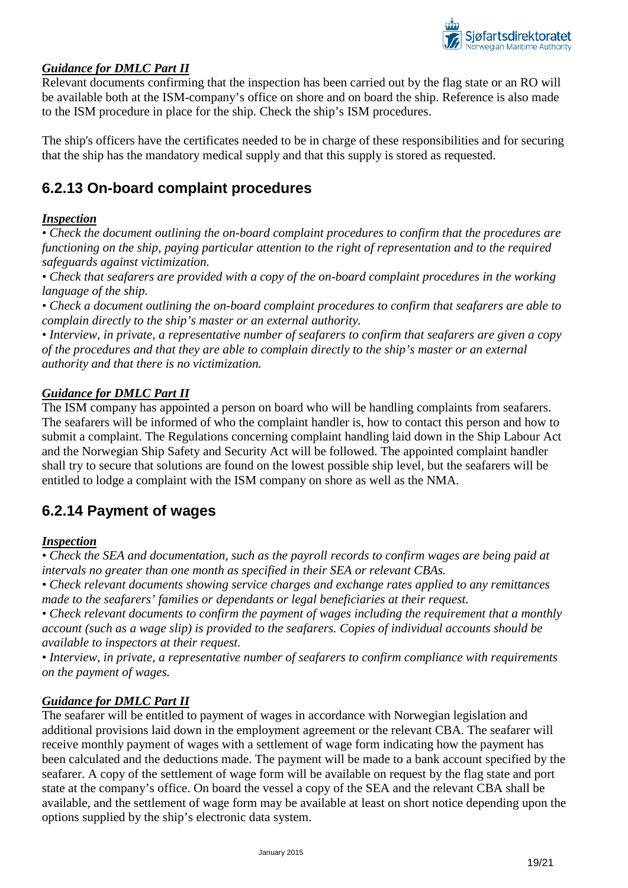

Relevant documents confirming that the inspection has been carried out by the flag state or an RO will be available both at the ISM-company's office on shore and on board the ship. Reference is also made to the ISM procedure in place for the ship. Check the ship's ISM procedures.

The ship's officers have the certificates needed to be in charge of these responsibilities and for securing that the ship has the mandatory medical supply and that this supply is stored as requested.

## <span id="page-18-0"></span>**6.2.13 On-board complaint procedures**

### *Inspection*

*• Check the document outlining the on-board complaint procedures to confirm that the procedures are functioning on the ship, paying particular attention to the right of representation and to the required safeguards against victimization.*

*• Check that seafarers are provided with a copy of the on-board complaint procedures in the working language of the ship.*

*• Check a document outlining the on-board complaint procedures to confirm that seafarers are able to complain directly to the ship's master or an external authority.*

*• Interview, in private, a representative number of seafarers to confirm that seafarers are given a copy of the procedures and that they are able to complain directly to the ship's master or an external authority and that there is no victimization.*

### *Guidance for DMLC Part II*

The ISM company has appointed a person on board who will be handling complaints from seafarers. The seafarers will be informed of who the complaint handler is, how to contact this person and how to submit a complaint. The Regulations concerning complaint handling laid down in the Ship Labour Act and the Norwegian Ship Safety and Security Act will be followed. The appointed complaint handler shall try to secure that solutions are found on the lowest possible ship level, but the seafarers will be entitled to lodge a complaint with the ISM company on shore as well as the NMA.

## <span id="page-18-1"></span>**6.2.14 Payment of wages**

#### *Inspection*

*• Check the SEA and documentation, such as the payroll records to confirm wages are being paid at intervals no greater than one month as specified in their SEA or relevant CBAs.*

*• Check relevant documents showing service charges and exchange rates applied to any remittances made to the seafarers' families or dependants or legal beneficiaries at their request.*

*• Check relevant documents to confirm the payment of wages including the requirement that a monthly account (such as a wage slip) is provided to the seafarers. Copies of individual accounts should be available to inspectors at their request.*

*• Interview, in private, a representative number of seafarers to confirm compliance with requirements on the payment of wages.*

#### *Guidance for DMLC Part II*

The seafarer will be entitled to payment of wages in accordance with Norwegian legislation and additional provisions laid down in the employment agreement or the relevant CBA. The seafarer will receive monthly payment of wages with a settlement of wage form indicating how the payment has been calculated and the deductions made. The payment will be made to a bank account specified by the seafarer. A copy of the settlement of wage form will be available on request by the flag state and port state at the company's office. On board the vessel a copy of the SEA and the relevant CBA shall be available, and the settlement of wage form may be available at least on short notice depending upon the options supplied by the ship's electronic data system.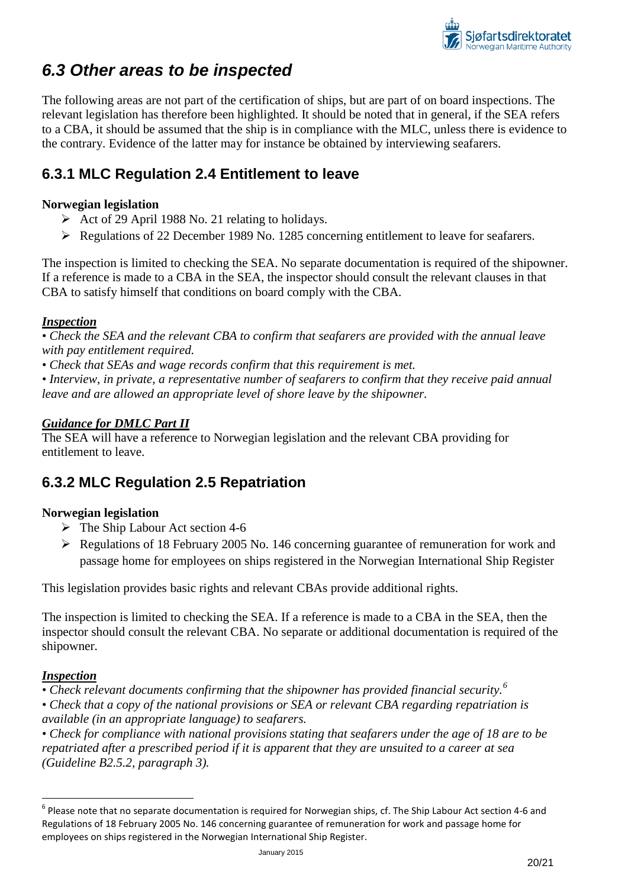

## <span id="page-19-0"></span>*6.3 Other areas to be inspected*

The following areas are not part of the certification of ships, but are part of on board inspections. The relevant legislation has therefore been highlighted. It should be noted that in general, if the SEA refers to a CBA, it should be assumed that the ship is in compliance with the MLC, unless there is evidence to the contrary. Evidence of the latter may for instance be obtained by interviewing seafarers.

## <span id="page-19-1"></span>**6.3.1 MLC Regulation 2.4 Entitlement to leave**

### **Norwegian legislation**

- Act of 29 April 1988 No. 21 relating to holidays.
- Regulations of 22 December 1989 No. 1285 concerning entitlement to leave for seafarers.

The inspection is limited to checking the SEA. No separate documentation is required of the shipowner. If a reference is made to a CBA in the SEA, the inspector should consult the relevant clauses in that CBA to satisfy himself that conditions on board comply with the CBA.

## *Inspection*

*• Check the SEA and the relevant CBA to confirm that seafarers are provided with the annual leave with pay entitlement required.*

*• Check that SEAs and wage records confirm that this requirement is met.*

• Interview, in private, a representative number of seafarers to confirm that they receive paid annual *leave and are allowed an appropriate level of shore leave by the shipowner.*

## *Guidance for DMLC Part II*

The SEA will have a reference to Norwegian legislation and the relevant CBA providing for entitlement to leave.

## <span id="page-19-2"></span>**6.3.2 MLC Regulation 2.5 Repatriation**

### **Norwegian legislation**

- $\triangleright$  The Ship Labour Act section 4-6
- Regulations of 18 February 2005 No. 146 concerning guarantee of remuneration for work and passage home for employees on ships registered in the Norwegian International Ship Register

This legislation provides basic rights and relevant CBAs provide additional rights.

The inspection is limited to checking the SEA. If a reference is made to a CBA in the SEA, then the inspector should consult the relevant CBA. No separate or additional documentation is required of the shipowner.

### *Inspection*

*• Check relevant documents confirming that the shipowner has provided financial security.[6](#page-19-3)*

*• Check that a copy of the national provisions or SEA or relevant CBA regarding repatriation is available (in an appropriate language) to seafarers.*

*• Check for compliance with national provisions stating that seafarers under the age of 18 are to be repatriated after a prescribed period if it is apparent that they are unsuited to a career at sea (Guideline B2.5.2, paragraph 3).*

<span id="page-19-3"></span> $^6$  Please note that no separate documentation is required for Norwegian ships, cf. The Ship Labour Act section 4-6 and Regulations of 18 February 2005 No. 146 concerning guarantee of remuneration for work and passage home for employees on ships registered in the Norwegian International Ship Register.